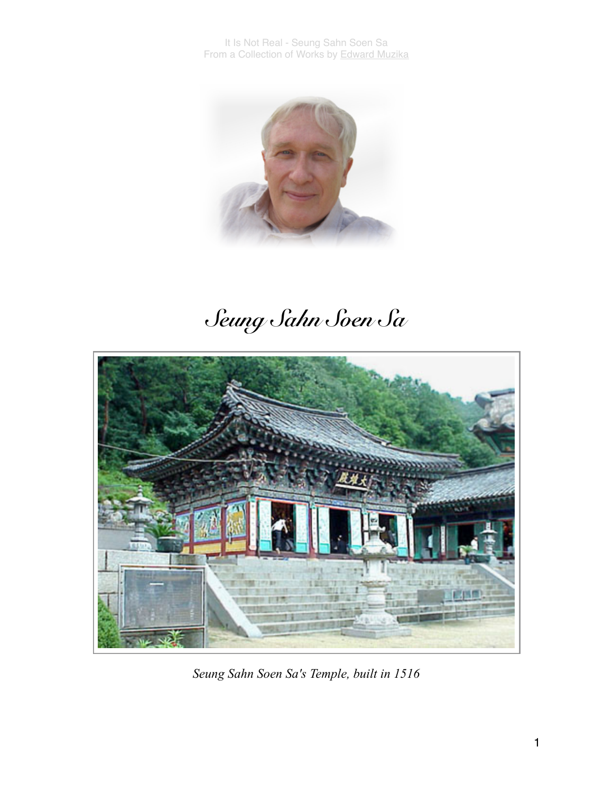

## *Seung Sahn Soen Sa*



*Seung Sahn Soen Sa's Temple, built in 1516*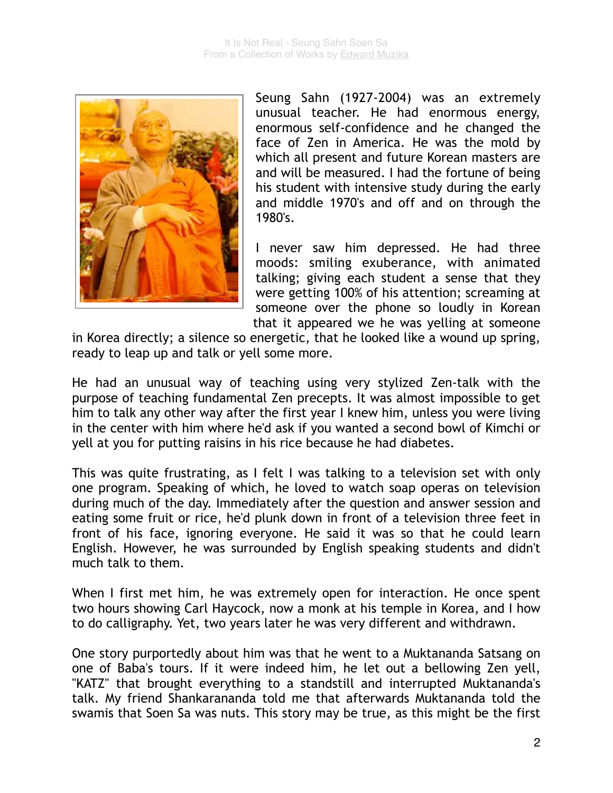

Seung Sahn (1927-2004) was an extremely unusual teacher. He had enormous energy, enormous self-confidence and he changed the face of Zen in America. He was the mold by which all present and future Korean masters are and will be measured. I had the fortune of being his student with intensive study during the early and middle 1970's and off and on through the 1980's.

I never saw him depressed. He had three moods: smiling exuberance, with animated talking; giving each student a sense that they were getting 100% of his attention; screaming at someone over the phone so loudly in Korean that it appeared we he was yelling at someone

in Korea directly; a silence so energetic, that he looked like a wound up spring, ready to leap up and talk or yell some more.

He had an unusual way of teaching using very stylized Zen-talk with the purpose of teaching fundamental Zen precepts. It was almost impossible to get him to talk any other way after the first year I knew him, unless you were living in the center with him where he'd ask if you wanted a second bowl of Kimchi or yell at you for putting raisins in his rice because he had diabetes.

This was quite frustrating, as I felt I was talking to a television set with only one program. Speaking of which, he loved to watch soap operas on television during much of the day. Immediately after the question and answer session and eating some fruit or rice, he'd plunk down in front of a television three feet in front of his face, ignoring everyone. He said it was so that he could learn English. However, he was surrounded by English speaking students and didn't much talk to them.

When I first met him, he was extremely open for interaction. He once spent two hours showing Carl Haycock, now a monk at his temple in Korea, and I how to do calligraphy. Yet, two years later he was very different and withdrawn.

One story purportedly about him was that he went to a Muktananda Satsang on one of Baba's tours. If it were indeed him, he let out a bellowing Zen yell, "KATZ" that brought everything to a standstill and interrupted Muktananda's talk. My friend Shankarananda told me that afterwards Muktananda told the swamis that Soen Sa was nuts. This story may be true, as this might be the first